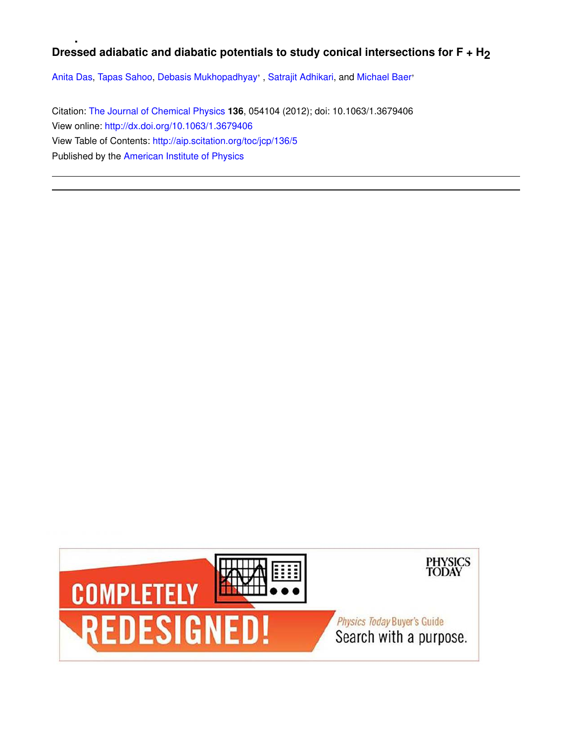# **Dressed adiabatic and diabatic potentials to study conical intersections for F + H2**

Anita Das, Tapas Sahoo, Debasis Mukhopadhyay', Satrajit Adhikari, and Michael Baer'

Citation: The Journal of Chemical Physics **136**, 054104 (2012); doi: 10.1063/1.3679406 View online: http://dx.doi.org/10.1063/1.3679406 View Table of Contents: http://aip.scitation.org/toc/jcp/136/5 Published by the American Institute of Physics

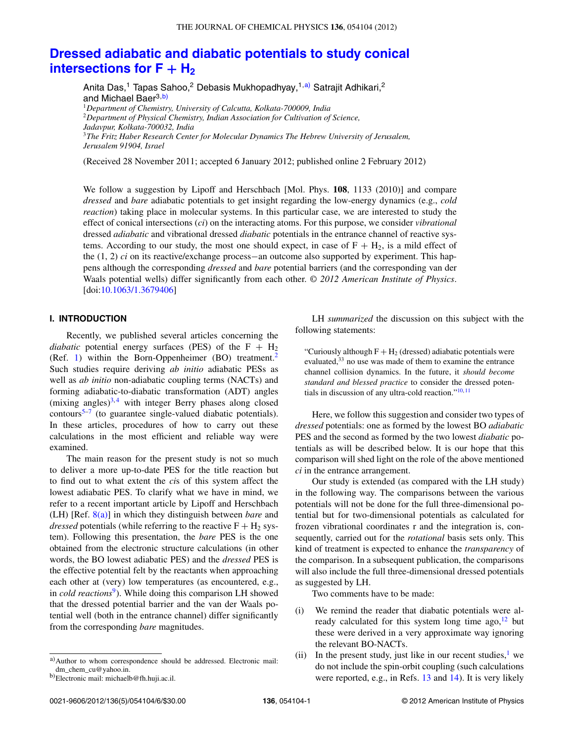# **Dressed adiabatic and diabatic potentials to study conical intersections for F +**  $H_2$

Anita Das,<sup>1</sup> Tapas Sahoo,<sup>2</sup> Debasis Mukhopadhyay,<sup>1,a)</sup> Satrajit Adhikari,<sup>2</sup> and Michael Baer<sup>3,b)</sup> <sup>1</sup>*Department of Chemistry, University of Calcutta, Kolkata-700009, India* <sup>2</sup>*Department of Physical Chemistry, Indian Association for Cultivation of Science, Jadavpur, Kolkata-700032, India*

<sup>3</sup>*The Fritz Haber Research Center for Molecular Dynamics The Hebrew University of Jerusalem, Jerusalem 91904, Israel*

(Received 28 November 2011; accepted 6 January 2012; published online 2 February 2012)

We follow a suggestion by Lipoff and Herschbach [Mol. Phys. **108**, 1133 (2010)] and compare *dressed* and *bare* adiabatic potentials to get insight regarding the low-energy dynamics (e.g., *cold reaction*) taking place in molecular systems. In this particular case, we are interested to study the effect of conical intersections (*ci*) on the interacting atoms. For this purpose, we consider *vibrational* dressed *adiabatic* and vibrational dressed *diabatic* potentials in the entrance channel of reactive systems. According to our study, the most one should expect, in case of  $F + H<sub>2</sub>$ , is a mild effect of the (1, 2) *ci* on its reactive/exchange process−an outcome also supported by experiment. This happens although the corresponding *dressed* and *bare* potential barriers (and the corresponding van der Waals potential wells) differ significantly from each other. *© 2012 American Institute of Physics*. [doi:10.1063/1.3679406]

### **I. INTRODUCTION**

Recently, we published several articles concerning the *diabatic* potential energy surfaces (PES) of the  $F + H_2$ (Ref. 1) within the Born-Oppenheimer (BO) treatment.<sup>2</sup> Such studies require deriving *ab initio* adiabatic PESs as well as *ab initio* non-adiabatic coupling terms (NACTs) and forming adiabatic-to-diabatic transformation (ADT) angles (mixing angles) $^{3,4}$  with integer Berry phases along closed contours<sup>5–7</sup> (to guarantee single-valued diabatic potentials). In these articles, procedures of how to carry out these calculations in the most efficient and reliable way were examined.

The main reason for the present study is not so much to deliver a more up-to-date PES for the title reaction but to find out to what extent the *ci*s of this system affect the lowest adiabatic PES. To clarify what we have in mind, we refer to a recent important article by Lipoff and Herschbach (LH) [Ref. 8(a)] in which they distinguish between *bare* and *dressed* potentials (while referring to the reactive  $F + H_2$  system). Following this presentation, the *bare* PES is the one obtained from the electronic structure calculations (in other words, the BO lowest adiabatic PES) and the *dressed* PES is the effective potential felt by the reactants when approaching each other at (very) low temperatures (as encountered, e.g., in *cold reactions*<sup>9</sup>). While doing this comparison LH showed that the dressed potential barrier and the van der Waals potential well (both in the entrance channel) differ significantly from the corresponding *bare* magnitudes.

LH *summarized* the discussion on this subject with the following statements:

"Curiously although  $F + H_2$  (dressed) adiabatic potentials were evaluated,<sup>33</sup> no use was made of them to examine the entrance channel collision dynamics. In the future, it *should become standard and blessed practice* to consider the dressed potentials in discussion of any ultra-cold reaction."10, <sup>11</sup>

Here, we follow this suggestion and consider two types of *dressed* potentials: one as formed by the lowest BO *adiabatic* PES and the second as formed by the two lowest *diabatic* potentials as will be described below. It is our hope that this comparison will shed light on the role of the above mentioned *ci* in the entrance arrangement.

Our study is extended (as compared with the LH study) in the following way. The comparisons between the various potentials will not be done for the full three-dimensional potential but for two*-*dimensional potentials as calculated for frozen vibrational coordinates r and the integration is, consequently, carried out for the *rotational* basis sets only. This kind of treatment is expected to enhance the *transparency* of the comparison. In a subsequent publication, the comparisons will also include the full three-dimensional dressed potentials as suggested by LH.

Two comments have to be made:

- (i) We remind the reader that diabatic potentials were already calculated for this system long time ago, $12$  but these were derived in a very approximate way ignoring the relevant BO-NACTs.
- (ii) In the present study, just like in our recent studies, $<sup>1</sup>$  we</sup> do not include the spin-orbit coupling (such calculations were reported, e.g., in Refs. 13 and 14). It is very likely

a) Author to whom correspondence should be addressed. Electronic mail: dm\_chem\_cu@yahoo.in.

b)Electronic mail: michaelb@fh.huji.ac.il.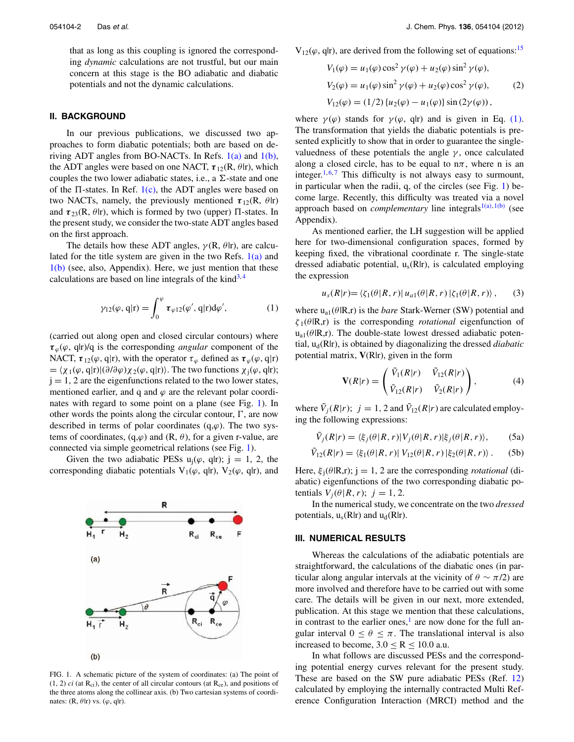that as long as this coupling is ignored the corresponding *dynamic* calculations are not trustful, but our main concern at this stage is the BO adiabatic and diabatic potentials and not the dynamic calculations.

### **II. BACKGROUND**

In our previous publications, we discussed two approaches to form diabatic potentials; both are based on deriving ADT angles from BO-NACTs. In Refs.  $1(a)$  and  $1(b)$ , the ADT angles were based on one NACT,  $\tau_{12}(R, \theta | r)$ , which couples the two lower adiabatic states, i.e., a  $\Sigma$ -state and one of the  $\Pi$ -states. In Ref. 1(c), the ADT angles were based on two NACTs, namely, the previously mentioned  $\tau_{12}(R, \theta | r)$ and  $\tau_{23}(R, \theta | r)$ , which is formed by two (upper)  $\Pi$ -states. In the present study, we consider the two-state ADT angles based on the first approach.

The details how these ADT angles,  $\gamma(R, \theta | r)$ , are calculated for the title system are given in the two Refs.  $1(a)$  and 1(b) (see, also, Appendix). Here, we just mention that these calculations are based on line integrals of the kind<sup>3,4</sup>

$$
\gamma_{12}(\varphi, \mathbf{q}|\mathbf{r}) = \int_0^{\varphi} \boldsymbol{\tau}_{\varphi 12}(\varphi', \mathbf{q}|\mathbf{r}) d\varphi', \qquad (1)
$$

(carried out along open and closed circular contours) where  $\tau_{\varphi}(\varphi, \varphi)$  q is the corresponding *angular* component of the NACT,  $\tau_{12}(\varphi, q|r)$ , with the operator  $\tau_{\varphi}$  defined as  $\tau_{\varphi}(\varphi, q|r)$  $= \langle \chi_1(\varphi, \mathrm{q}|\mathrm{r})| (\partial/\partial \varphi) \chi_2(\varphi, \mathrm{q}|\mathrm{r}) \rangle$ . The two functions  $\chi_1(\varphi, \mathrm{q}|\mathrm{r})$ ;  $j = 1, 2$  are the eigenfunctions related to the two lower states, mentioned earlier, and q and  $\varphi$  are the relevant polar coordinates with regard to some point on a plane (see Fig. 1). In other words the points along the circular contour,  $\Gamma$ , are now described in terms of polar coordinates  $(q, \varphi)$ . The two systems of coordinates,  $(q,\varphi)$  and  $(R, \theta)$ , for a given r-value, are connected via simple geometrical relations (see Fig. 1).

Given the two adiabatic PESs  $u_i(\varphi, \varphi)$ ; j = 1, 2, the corresponding diabatic potentials  $V_1(\varphi, \varphi | r)$ ,  $V_2(\varphi, \varphi | r)$ , and



FIG. 1. A schematic picture of the system of coordinates: (a) The point of  $(1, 2)$  *ci* (at  $R_{ci}$ ), the center of all circular contours (at  $R_{ce}$ ), and positions of the three atoms along the collinear axis. (b) Two cartesian systems of coordinates:  $(R, \theta | r)$  vs.  $(\varphi, q | r)$ .

 $V_{12}(\varphi, q\vert r)$ , are derived from the following set of equations:<sup>15</sup>

$$
V_1(\varphi) = u_1(\varphi)\cos^2\gamma(\varphi) + u_2(\varphi)\sin^2\gamma(\varphi),
$$
  
\n
$$
V_2(\varphi) = u_1(\varphi)\sin^2\gamma(\varphi) + u_2(\varphi)\cos^2\gamma(\varphi),
$$
  
\n
$$
V_{12}(\varphi) = (1/2)\{u_2(\varphi) - u_1(\varphi)\}\sin(2\gamma(\varphi)),
$$
\n(2)

where  $\gamma(\varphi)$  stands for  $\gamma(\varphi, \varphi)$  and is given in Eq. (1). The transformation that yields the diabatic potentials is presented explicitly to show that in order to guarantee the singlevaluedness of these potentials the angle  $\gamma$ , once calculated along a closed circle, has to be equal to  $n\pi$ , where n is an integer.<sup>1, 6,7</sup> This difficulty is not always easy to surmount, in particular when the radii, q, of the circles (see Fig. 1) become large. Recently, this difficulty was treated via a novel approach based on *complementary* line integrals<sup>1(a),1(b)</sup> (see Appendix).

As mentioned earlier, the LH suggestion will be applied here for two-dimensional configuration spaces, formed by keeping fixed, the vibrational coordinate r. The single-state dressed adiabatic potential,  $u_s(R|r)$ , is calculated employing the expression

$$
u_s(R|r) = \langle \zeta_1(\theta|R,r) | u_{a1}(\theta|R,r) | \zeta_1(\theta|R,r) \rangle, \qquad (3)
$$

where  $u_{a1}(\theta|R,r)$  is the *bare* Stark-Werner (SW) potential and  $\zeta_1(\theta|R,r)$  is the corresponding *rotational* eigenfunction of  $u_{a1}(\theta|R,r)$ . The double-state lowest dressed adiabatic potential, u<sub>d</sub>(R|r), is obtained by diagonalizing the dressed *diabatic* potential matrix,  $V(R|r)$ , given in the form

$$
\mathbf{V}(R|r) = \begin{pmatrix} \tilde{V}_1(R|r) & \tilde{V}_{12}(R|r) \\ \tilde{V}_{12}(R|r) & \tilde{V}_2(R|r) \end{pmatrix},
$$
 (4)

where  $\tilde{V}_j(R|r)$ ;  $j = 1, 2$  and  $\tilde{V}_{12}(R|r)$  are calculated employing the following expressions:

$$
\tilde{V}_j(R|r) = \langle \xi_j(\theta|R,r)|V_j(\theta|R,r)|\xi_j(\theta|R,r)\rangle, \tag{5a}
$$

$$
\tilde{V}_{12}(R|r) = \langle \xi_1(\theta|R,r)| V_{12}(\theta|R,r) | \xi_2(\theta|R,r) \rangle. \tag{5b}
$$

Here,  $\xi_i(\theta|R,r)$ ; j = 1, 2 are the corresponding *rotational* (diabatic) eigenfunctions of the two corresponding diabatic potentials  $V_i(\theta | R, r)$ ;  $j = 1, 2$ .

In the numerical study, we concentrate on the two *dressed* potentials,  $u_s(R|r)$  and  $u_d(R|r)$ .

## **III. NUMERICAL RESULTS**

Whereas the calculations of the adiabatic potentials are straightforward, the calculations of the diabatic ones (in particular along angular intervals at the vicinity of  $\theta \sim \pi/2$ ) are more involved and therefore have to be carried out with some care. The details will be given in our next, more extended, publication. At this stage we mention that these calculations, in contrast to the earlier ones, $\frac{1}{2}$  are now done for the full angular interval  $0 \le \theta \le \pi$ . The translational interval is also increased to become,  $3.0 \le R \le 10.0$  a.u.

In what follows are discussed PESs and the corresponding potential energy curves relevant for the present study. These are based on the SW pure adiabatic PESs (Ref. 12) calculated by employing the internally contracted Multi Reference Configuration Interaction (MRCI) method and the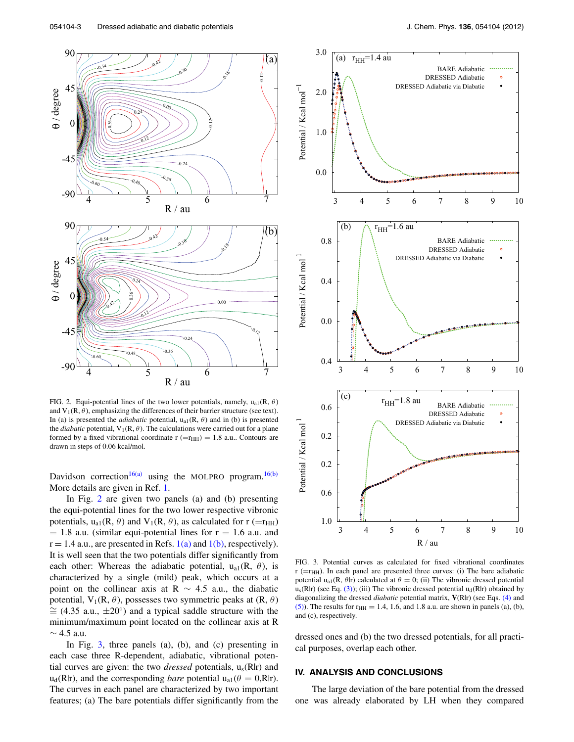

FIG. 2. Equi-potential lines of the two lower potentials, namely,  $u_{a1}(R, \theta)$ and  $V_1(R, \theta)$ , emphasizing the differences of their barrier structure (see text). In (a) is presented the *adiabatic* potential,  $u_{a1}(R, \theta)$  and in (b) is presented the *diabatic* potential,  $V_1(R, \theta)$ . The calculations were carried out for a plane formed by a fixed vibrational coordinate  $r (=r<sub>HH</sub>) = 1.8$  a.u.. Contours are drawn in steps of 0.06 kcal/mol.

Davidson correction<sup>16(a)</sup> using the MOLPRO program.<sup>16(b)</sup> More details are given in Ref. 1.

In Fig. 2 are given two panels (a) and (b) presenting the equi-potential lines for the two lower respective vibronic potentials,  $u_{a1}(R, \theta)$  and  $V_1(R, \theta)$ , as calculated for  $r (=r<sub>HH</sub>)$  $= 1.8$  a.u. (similar equi-potential lines for  $r = 1.6$  a.u. and  $r = 1.4$  a.u., are presented in Refs.  $1(a)$  and  $1(b)$ , respectively). It is well seen that the two potentials differ significantly from each other: Whereas the adiabatic potential,  $u_{a1}(R, \theta)$ , is characterized by a single (mild) peak, which occurs at a point on the collinear axis at R  $\sim$  4.5 a.u., the diabatic potential,  $V_1(R, \theta)$ , possesses two symmetric peaks at  $(R, \theta)$  $\cong$  (4.35 a.u.,  $\pm 20^\circ$ ) and a typical saddle structure with the minimum/maximum point located on the collinear axis at R  $\sim$  4.5 a.u.

In Fig. 3, three panels (a), (b), and (c) presenting in each case three R-dependent, adiabatic, vibrational potential curves are given: the two *dressed* potentials,  $u_s(R|r)$  and  $u_d(R|r)$ , and the corresponding *bare* potential  $u_{a1}(\theta = 0, R|r)$ . The curves in each panel are characterized by two important features; (a) The bare potentials differ significantly from the



FIG. 3. Potential curves as calculated for fixed vibrational coordinates  $r$  (= $r<sub>HH</sub>$ ). In each panel are presented three curves: (i) The bare adiabatic potential  $u_{a1}(R, \theta | r)$  calculated at  $\theta = 0$ ; (ii) The vibronic dressed potential  $u_s(R|r)$  (see Eq. (3)); (iii) The vibronic dressed potential  $u_d(R|r)$  obtained by diagonalizing the dressed *diabatic* potential matrix, **V**(R|r) (see Eqs. (4) and (5)). The results for  $r_{HH} = 1.4$ , 1.6, and 1.8 a.u. are shown in panels (a), (b), and (c), respectively.

dressed ones and (b) the two dressed potentials, for all practical purposes, overlap each other.

#### **IV. ANALYSIS AND CONCLUSIONS**

The large deviation of the bare potential from the dressed one was already elaborated by LH when they compared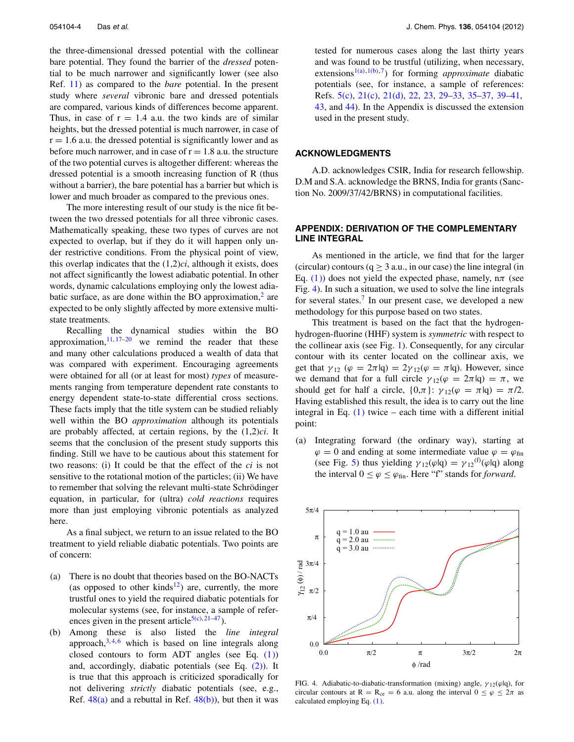the three-dimensional dressed potential with the collinear bare potential. They found the barrier of the *dressed* potential to be much narrower and significantly lower (see also Ref. 11) as compared to the *bare* potential. In the present study where *several* vibronic bare and dressed potentials are compared, various kinds of differences become apparent. Thus, in case of  $r = 1.4$  a.u. the two kinds are of similar heights, but the dressed potential is much narrower, in case of  $r = 1.6$  a.u. the dressed potential is significantly lower and as before much narrower, and in case of  $r = 1.8$  a.u. the structure of the two potential curves is altogether different: whereas the dressed potential is a smooth increasing function of R (thus without a barrier), the bare potential has a barrier but which is lower and much broader as compared to the previous ones.

The more interesting result of our study is the nice fit between the two dressed potentials for all three vibronic cases. Mathematically speaking, these two types of curves are not expected to overlap, but if they do it will happen only under restrictive conditions. From the physical point of view, this overlap indicates that the (1,2)*ci*, although it exists, does not affect significantly the lowest adiabatic potential. In other words, dynamic calculations employing only the lowest adiabatic surface, as are done within the BO approximation, $2$  are expected to be only slightly affected by more extensive multistate treatments.

Recalling the dynamical studies within the BO approximation,  $11, 17-20$  we remind the reader that these and many other calculations produced a wealth of data that was compared with experiment. Encouraging agreements were obtained for all (or at least for most) *types* of measurements ranging from temperature dependent rate constants to energy dependent state-to-state differential cross sections. These facts imply that the title system can be studied reliably well within the BO *approximation* although its potentials are probably affected, at certain regions, by the (1,2)*ci*. It seems that the conclusion of the present study supports this finding. Still we have to be cautious about this statement for two reasons: (i) It could be that the effect of the *ci* is not sensitive to the rotational motion of the particles; (ii) We have to remember that solving the relevant multi-state Schrödinger equation, in particular, for (ultra) *cold reactions* requires more than just employing vibronic potentials as analyzed here.

As a final subject, we return to an issue related to the BO treatment to yield reliable diabatic potentials. Two points are of concern:

- (a) There is no doubt that theories based on the BO-NACTs (as opposed to other kinds<sup>12</sup>) are, currently, the more trustful ones to yield the required diabatic potentials for molecular systems (see, for instance, a sample of references given in the present article<sup>5(c), 21–47</sup>).
- (b) Among these is also listed the *line integral* approach,  $3, 4, 6$  which is based on line integrals along closed contours to form ADT angles (see Eq.  $(1)$ ) and, accordingly, diabatic potentials (see Eq. (2)). It is true that this approach is criticized sporadically for not delivering *strictly* diabatic potentials (see, e.g., Ref.  $48(a)$  and a rebuttal in Ref.  $48(b)$ , but then it was

tested for numerous cases along the last thirty years and was found to be trustful (utilizing, when necessary, extensions<sup>1(a),1(b),7</sup>) for forming *approximate* diabatic potentials (see, for instance, a sample of references: Refs. 5(c), 21(c), 21(d), 22, 23, 29–33, 35–37, 39–41, 43, and 44). In the Appendix is discussed the extension used in the present study.

### **ACKNOWLEDGMENTS**

A.D. acknowledges CSIR, India for research fellowship. D.M and S.A. acknowledge the BRNS, India for grants (Sanction No. 2009/37/42/BRNS) in computational facilities.

## **APPENDIX: DERIVATION OF THE COMPLEMENTARY LINE INTEGRAL**

As mentioned in the article, we find that for the larger (circular) contours ( $q \ge 3$  a.u., in our case) the line integral (in Eq. (1)) does not yield the expected phase, namely,  $n\pi$  (see Fig. 4). In such a situation, we used to solve the line integrals for several states.<sup>7</sup> In our present case, we developed a new methodology for this purpose based on two states.

This treatment is based on the fact that the hydrogenhydrogen-fluorine (HHF) system is *symmetric* with respect to the collinear axis (see Fig. 1). Consequently, for any circular contour with its center located on the collinear axis, we get that  $\gamma_{12}$  ( $\varphi = 2\pi |q| = 2\gamma_{12}(\varphi = \pi |q|)$ . However, since we demand that for a full circle  $\gamma_{12}(\varphi = 2\pi | q) = \pi$ , we should get for half a circle,  $\{0,\pi\}$ :  $\gamma_{12}(\varphi = \pi | q) = \pi/2$ . Having established this result, the idea is to carry out the line integral in Eq.  $(1)$  twice – each time with a different initial point:

(a) Integrating forward (the ordinary way), starting at  $\varphi = 0$  and ending at some intermediate value  $\varphi = \varphi_{fin}$ (see Fig. 5) thus yielding  $\gamma_{12}(\varphi|q) = \gamma_{12}^{(f)}(\varphi|q)$  along the interval  $0 \le \varphi \le \varphi_{fin}$ . Here "f" stands for *forward*.



FIG. 4. Adiabatic-to-diabatic-transformation (mixing) angle,  $\gamma_{12}(\varphi|q)$ , for circular contours at R = R<sub>ce</sub> = 6 a.u. along the interval  $0 \le \varphi \le 2\pi$  as calculated employing Eq. (1).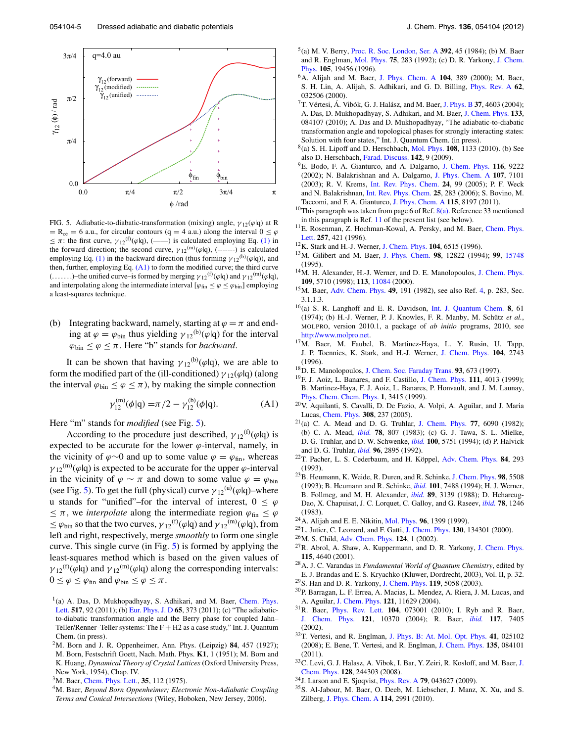

FIG. 5. Adiabatic-to-diabatic-transformation (mixing) angle,  $\gamma_{12}(\varphi|q)$  at R  $=$  R<sub>ce</sub>  $=$  6 a.u., for circular contours (q  $=$  4 a.u.) along the interval  $0 \leq \varphi$  $\leq \pi$ : the first curve,  $\gamma_{12}^{(f)}(\varphi|q)$ , (------) is calculated employing Eq. (1) in the forward direction; the second curve,  $\gamma_{12}^{(m)}(\varphi|q)$ , (-------) is calculated employing Eq. (1) in the backward direction (thus forming  $\gamma_{12}^{(b)}(\varphi|q)$ ), and then, further, employing Eq.  $(A1)$  to form the modified curve; the third curve (......)–the unified curve–is formed by merging  $\gamma_{12}^{(f)}(\varphi|q)$  and  $\gamma_{12}^{(m)}(\varphi|q)$ , and interpolating along the intermediate interval [ $\varphi_{fin} \leq \varphi \leq \varphi_{bin}$ ] employing a least-squares technique.

Integrating backward, namely, starting at  $\varphi = \pi$  and ending at  $\varphi = \varphi_{\text{bin}}$  thus yielding  $\gamma_{12}^{(b)}(\varphi|q)$  for the interval  $\varphi_{\text{bin}} \leq \varphi \leq \pi$ . Here "b" stands for *backward*.

It can be shown that having  $\gamma_{12}^{(b)}(\varphi|q)$ , we are able to form the modified part of the (ill-conditioned)  $\gamma_{12}(\varphi|q)$  (along the interval  $\varphi_{\text{bin}} \leq \varphi \leq \pi$ , by making the simple connection

$$
\gamma_{12}^{(m)}(\phi|q) = \pi/2 - \gamma_{12}^{(b)}(\phi|q). \tag{A1}
$$

Here "m" stands for *modified* (see Fig. 5).

According to the procedure just described,  $\gamma_{12}^{(f)}(\varphi|q)$  is expected to be accurate for the lower  $\varphi$ -interval, namely, in the vicinity of  $\varphi \sim 0$  and up to some value  $\varphi = \varphi_{fin}$ , whereas  $\gamma_{12}^{(m)}(\varphi|q)$  is expected to be accurate for the upper  $\varphi$ -interval in the vicinity of  $\varphi \sim \pi$  and down to some value  $\varphi = \varphi_{\text{bin}}$ (see Fig. 5). To get the full (physical) curve  $\gamma_{12}^{(u)}(\varphi|q)$ -where u stands for "unified"–for the interval of interest,  $0 \leq \varphi$  $\leq \pi$ , we *interpolate* along the intermediate region  $\varphi_{fin} \leq \varphi$  $\leq \varphi_{\text{bin}}$  so that the two curves,  $\gamma_{12}^{(f)}(\varphi|q)$  and  $\gamma_{12}^{(m)}(\varphi|q)$ , from left and right, respectively, merge *smoothly* to form one single curve. This single curve (in Fig. 5) is formed by applying the least-squares method which is based on the given values of  $\gamma_{12}^{(f)}(\varphi|q)$  and  $\gamma_{12}^{(m)}(\varphi|q)$  along the corresponding intervals:  $0 \leq \varphi \leq \varphi_{fin}$  and  $\varphi_{bin} \leq \varphi \leq \pi$ .

- $<sup>1</sup>$ (a) A. Das, D. Mukhopadhyay, S. Adhikari, and M. Baer, Chem. Phys.</sup> Lett. **517**, 92 (2011); (b) Eur. Phys. J. D **65**, 373 (2011); (c) "The adiabaticto-diabatic transformation angle and the Berry phase for coupled Jahn– Teller/Renner–Teller systems: The  $F + H2$  as a case study," Int. J. Quantum Chem. (in press).
- <sup>2</sup>M. Born and J. R. Oppenheimer, Ann. Phys. (Leipzig) **84**, 457 (1927); M. Born, Festschrift Goett, Nach. Math. Phys. **K1**, 1 (1951); M. Born and K. Huang, *Dynamical Theory of Crystal Lattices* (Oxford University Press, New York, 1954), Chap. IV.
- <sup>3</sup>M. Baer, Chem. Phys. Lett., **35**, 112 (1975).
- <sup>4</sup>M. Baer, *Beyond Born Oppenheimer; Electronic Non-Adiabatic Coupling Terms and Conical Intersections* (Wiley, Hoboken, New Jersey, 2006).
- 5 (a) M. V. Berry, Proc. R. Soc. London, Ser. A **392**, 45 (1984); (b) M. Baer and R. Englman, Mol. Phys. **75**, 283 (1992); (c) D. R. Yarkony, J. Chem. Phys. **105**, 19456 (1996).
- <sup>6</sup>A. Alijah and M. Baer, J. Phys. Chem. A **104**, 389 (2000); M. Baer, S. H. Lin, A. Alijah, S. Adhikari, and G. D. Billing, Phys. Rev. A **62**, 032506 (2000).
- <sup>7</sup>T. Vértesi, Á. Vibók, G. J. Halász, and M. Baer, J. Phys. B **37**, 4603 (2004); A. Das, D. Mukhopadhyay, S. Adhikari, and M. Baer, J. Chem. Phys. **133**, 084107 (2010); A. Das and D. Mukhopadhyay, "The adiabatic-to-diabatic transformation angle and topological phases for strongly interacting states: Solution with four states," Int. J. Quantum Chem. (in press).
- 8 (a) S. H. Lipoff and D. Herschbach, Mol. Phys. **108**, 1133 (2010). (b) See also D. Herschbach, Farad. Discuss. **142**, 9 (2009).
- <sup>9</sup>E. Bodo, F. A. Gianturco, and A. Dalgarno, J. Chem. Phys. **116**, 9222 (2002); N. Balakrishnan and A. Dalgarno, J. Phys. Chem. A **107**, 7101 (2003); R. V. Krems, Int. Rev. Phys. Chem. **24**, 99 (2005); P. F. Weck and N. Balakrishnan, Int. Rev. Phys. Chem. **25**, 283 (2006); S. Bovino, M. Taccomi, and F. A. Gianturco, J. Phys. Chem. A **115**, 8197 (2011).
- <sup>10</sup>This paragraph was taken from page 6 of Ref.  $8(a)$ . Reference 33 mentioned in this paragraph is Ref. 11 of the present list (see below).
- <sup>11</sup>E. Rosenman, Z. Hochman-Kowal, A. Persky, and M. Baer, Chem. Phys. Lett. **257**, 421 (1996).
- <sup>12</sup>K. Stark and H.-J. Werner, J. Chem. Phys. **104**, 6515 (1996).
- <sup>13</sup>M. Gilibert and M. Baer, J. Phys. Chem. **98**, 12822 (1994); **99**, 15748 (1995).
- <sup>14</sup>M. H. Alexander, H.-J. Werner, and D. E. Manolopoulos, J. Chem. Phys. **109**, 5710 (1998); **113**, 11084 (2000).
- <sup>15</sup>M. Baer, Adv. Chem. Phys. **49**, 191 (1982), see also Ref. 4, p. 283, Sec. 3.1.1.3.
- <sup>16</sup>(a) S. R. Langhoff and E. R. Davidson, Int. J. Quantum Chem. **8**, 61 (1974); (b) H.-J. Werner, P. J. Knowles, F. R. Manby, M. Schütz *et al.*, MOLPRO, version 2010.1, a package of *ab initio* programs, 2010, see http://www.molpro.net.
- <sup>17</sup>M. Baer, M. Faubel, B. Martinez-Haya, L. Y. Rusin, U. Tapp, J. P. Toennies, K. Stark, and H.-J. Werner, J. Chem. Phys. **104**, 2743 (1996).
- <sup>18</sup>D. E. Manolopoulos, J. Chem. Soc. Faraday Trans. **93**, 673 (1997).
- <sup>19</sup>F. J. Aoiz, L. Banares, and F. Castillo, J. Chem. Phys. **111**, 4013 (1999); B. Martinez-Haya, F. J. Aoiz, L. Banares, P. Honvault, and J. M. Launay, Phys. Chem. Chem. Phys. **1**, 3415 (1999).
- <sup>20</sup>V. Aquilanti, S. Cavalli, D. De Fazio, A. Volpi, A. Aguilar, and J. Maria Lucas, Chem. Phys. **308**, 237 (2005).
- <sup>21</sup>(a) C. A. Mead and D. G. Truhlar, J. Chem. Phys. **77**, 6090 (1982); (b) C. A. Mead, *ibid.* **78**, 807 (1983); (c) G. J. Tawa, S. L. Mielke, D. G. Truhlar, and D. W. Schwenke, *ibid.* **100**, 5751 (1994); (d) P. Halvick and D. G. Truhlar, *ibid.* **96**, 2895 (1992).
- <sup>22</sup>T. Pacher, L. S. Cederbaum, and H. Köppel, Adv. Chem. Phys. **84**, 293 (1993).
- <sup>23</sup>B. Heumann, K. Weide, R. Duren, and R. Schinke, J. Chem. Phys. **98**, 5508 (1993); B. Heumann and R. Schinke, *ibid.* **101**, 7488 (1994); H. J. Werner, B. Follmeg, and M. H. Alexander, *ibid.* **89**, 3139 (1988); D. Hehareug-Dao, X. Chapuisat, J. C. Lorquet, C. Galloy, and G. Raseev, *ibid.* **78**, 1246 (1983).
- <sup>24</sup>A. Alijah and E. E. Nikitin, Mol. Phys. **96**, 1399 (1999).
- <sup>25</sup>L. Jutier, C. Leonard, and F. Gatti, J. Chem. Phys. **130**, 134301 (2000).
- <sup>26</sup>M. S. Child, Adv. Chem. Phys. **124**, 1 (2002).
- <sup>27</sup>R. Abrol, A. Shaw, A. Kuppermann, and D. R. Yarkony, J. Chem. Phys. **115**, 4640 (2001).
- <sup>28</sup>A. J. C. Varandas in *Fundamental World of Quantum Chemistry*, edited by E. J. Brandas and E. S. Kryachko (Kluwer, Dordrecht, 2003), Vol. II, p. 32.
- <sup>29</sup>S. Han and D. R. Yarkony, J. Chem. Phys. **119**, 5058 (2003).
- <sup>30</sup>P. Barragan, L. F. Errea, A. Macias, L. Mendez, A. Riera, J. M. Lucas, and A. Aguilar, J. Chem. Phys. **121**, 11629 (2004).
- <sup>31</sup>R. Baer, Phys. Rev. Lett. **104**, 073001 (2010); I. Ryb and R. Baer, J. Chem. Phys. **121**, 10370 (2004); R. Baer, *ibid.* **117**, 7405 (2002).
- <sup>32</sup>T. Vertesi, and R. Englman, J. Phys. B: At. Mol. Opt. Phys. **41**, 025102 (2008); E. Bene, T. Vertesi, and R. Englman, J. Chem. Phys. **135**, 084101 (2011).
- <sup>33</sup>C. Levi, G. J. Halasz, A. Vibok, I. Bar, Y. Zeiri, R. Kosloff, and M. Baer, J. Chem. Phys. **128**, 244303 (2008).
- <sup>34</sup>J. Larson and E. Sjoqvist, Phys. Rev. A **79**, 043627 (2009).
- <sup>35</sup>S. Al-Jabour, M. Baer, O. Deeb, M. Liebscher, J. Manz, X. Xu, and S. Zilberg, J. Phys. Chem. A **114**, 2991 (2010).